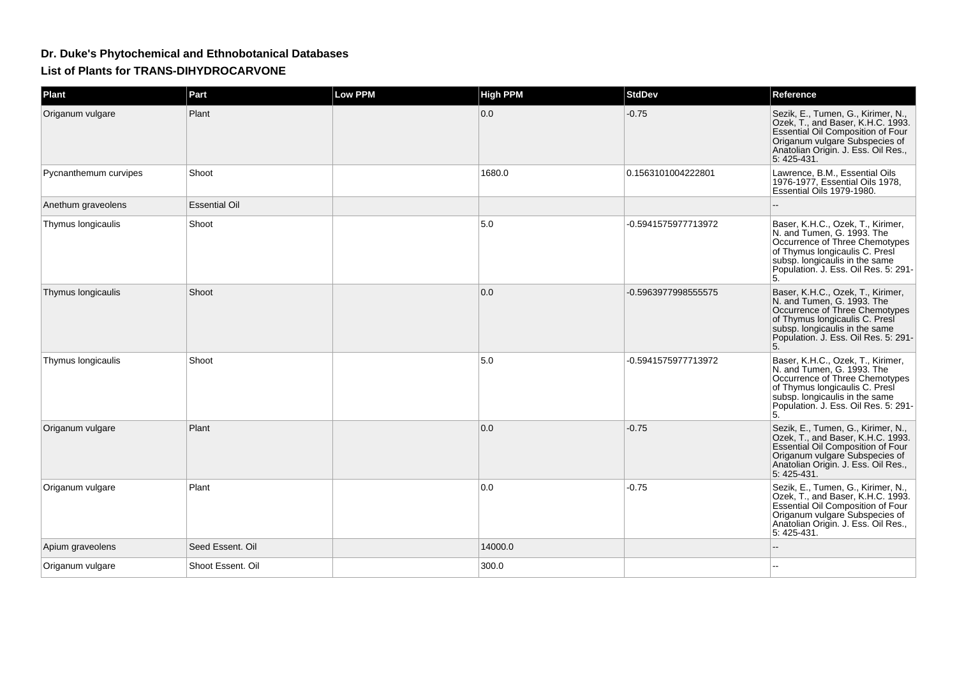## **Dr. Duke's Phytochemical and Ethnobotanical DatabasesList of Plants for TRANS-DIHYDROCARVONE**

| Plant                 | Part                 | <b>Low PPM</b> | <b>High PPM</b> | <b>StdDev</b>       | Reference                                                                                                                                                                                                           |
|-----------------------|----------------------|----------------|-----------------|---------------------|---------------------------------------------------------------------------------------------------------------------------------------------------------------------------------------------------------------------|
| Origanum vulgare      | Plant                |                | 0.0             | $-0.75$             | Sezik, E., Tumen, G., Kirimer, N.,<br>Ozek, T., and Baser, K.H.C. 1993.<br>Essential Oil Composition of Four<br>Origanum vulgare Subspecies of<br>Anatolian Origin. J. Ess. Oil Res.,<br>5:425-431.                 |
| Pycnanthemum curvipes | Shoot                |                | 1680.0          | 0.1563101004222801  | Lawrence, B.M., Essential Oils<br>1976-1977, Essential Oils 1978,<br>Essential Oils 1979-1980.                                                                                                                      |
| Anethum graveolens    | <b>Essential Oil</b> |                |                 |                     |                                                                                                                                                                                                                     |
| Thymus longicaulis    | Shoot                |                | 5.0             | -0.5941575977713972 | Baser, K.H.C., Ozek, T., Kirimer,<br>N. and Tumen, G. 1993. The<br>Occurrence of Three Chemotypes<br>of Thymus longicaulis C. Presi<br>subsp. longicaulis in the same<br>Population. J. Ess. Oil Res. 5: 291-<br>5. |
| Thymus longicaulis    | Shoot                |                | 0.0             | -0.5963977998555575 | Baser, K.H.C., Ozek, T., Kirimer,<br>N. and Tumen, G. 1993. The<br>Occurrence of Three Chemotypes<br>of Thymus longicaulis C. Presi<br>subsp. longicaulis in the same<br>Population. J. Ess. Oil Res. 5: 291-<br>5. |
| Thymus longicaulis    | Shoot                |                | 5.0             | -0.5941575977713972 | Baser, K.H.C., Ozek, T., Kirimer,<br>N. and Tumen, G. 1993. The<br>Occurrence of Three Chemotypes<br>of Thymus longicaulis C. Presi<br>subsp. longicaulis in the same<br>Population. J. Ess. Oil Res. 5: 291-<br>5. |
| Origanum vulgare      | Plant                |                | 0.0             | $-0.75$             | Sezik, E., Tumen, G., Kirimer, N.,<br>Ozek, T., and Baser, K.H.C. 1993.<br>Essential Oil Composition of Four<br>Origanum vulgare Subspecies of<br>Anatolian Origin. J. Ess. Oil Res.,<br>5: 425-431.                |
| Origanum vulgare      | Plant                |                | 0.0             | $-0.75$             | Sezik, E., Tumen, G., Kirimer, N.,<br>Ozek, T., and Baser, K.H.C. 1993.<br>Essential Oil Composition of Four<br>Origanum vulgare Subspecies of<br>Anatolian Origin. J. Ess. Oil Res.,<br>5: 425-431.                |
| Apium graveolens      | Seed Essent, Oil     |                | 14000.0         |                     |                                                                                                                                                                                                                     |
| Origanum vulgare      | Shoot Essent. Oil    |                | 300.0           |                     |                                                                                                                                                                                                                     |